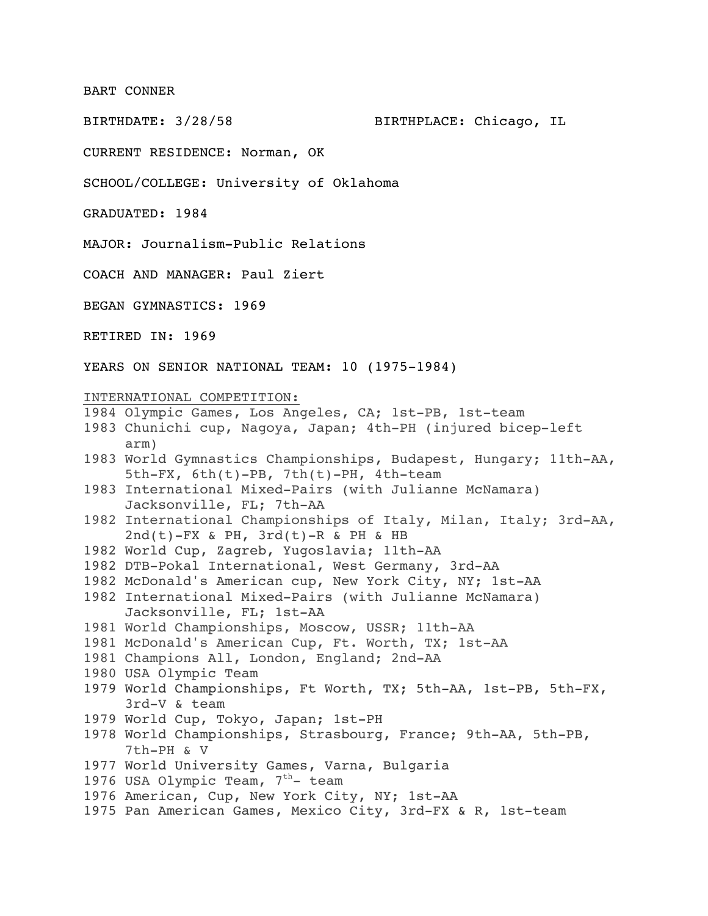BART CONNER

BIRTHDATE: 3/28/58 BIRTHPLACE: Chicago, IL

CURRENT RESIDENCE: Norman, OK

SCHOOL/COLLEGE: University of Oklahoma

GRADUATED: 1984

MAJOR: Journalism-Public Relations

COACH AND MANAGER: Paul Ziert

BEGAN GYMNASTICS: 1969

RETIRED IN: 1969

YEARS ON SENIOR NATIONAL TEAM: 10 (1975-1984)

## INTERNATIONAL COMPETITION:

- 1984 Olympic Games, Los Angeles, CA; 1st-PB, 1st-team
- 1983 Chunichi cup, Nagoya, Japan; 4th-PH (injured bicep-left arm)
- 1983 World Gymnastics Championships, Budapest, Hungary; 11th-AA, 5th-FX, 6th(t)-PB, 7th(t)-PH, 4th-team
- 1983 International Mixed-Pairs (with Julianne McNamara) Jacksonville, FL; 7th-AA
- 1982 International Championships of Italy, Milan, Italy; 3rd-AA,  $2nd(t)-FX$  & PH,  $3rd(t)-R$  & PH & HB
- 1982 World Cup, Zagreb, Yugoslavia; 11th-AA
- 1982 DTB-Pokal International, West Germany, 3rd-AA
- 1982 McDonald's American cup, New York City, NY; 1st-AA
- 1982 International Mixed-Pairs (with Julianne McNamara) Jacksonville, FL; 1st-AA
- 1981 World Championships, Moscow, USSR; 11th-AA
- 1981 McDonald's American Cup, Ft. Worth, TX; 1st-AA
- 1981 Champions All, London, England; 2nd-AA
- 1980 USA Olympic Team
- 1979 World Championships, Ft Worth, TX; 5th-AA, 1st-PB, 5th-FX, 3rd-V & team
- 1979 World Cup, Tokyo, Japan; 1st-PH
- 1978 World Championships, Strasbourg, France; 9th-AA, 5th-PB, 7th-PH & V
- 1977 World University Games, Varna, Bulgaria
- 1976 USA Olympic Team,  $7<sup>th</sup>$  team
- 1976 American, Cup, New York City, NY; 1st-AA
- 1975 Pan American Games, Mexico City, 3rd-FX & R, 1st-team